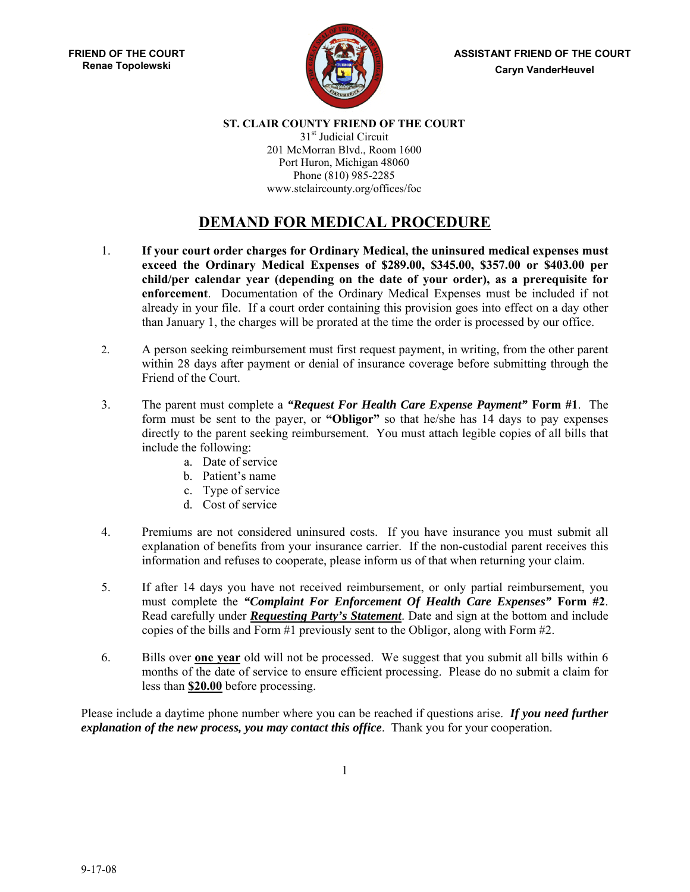

**A SSISTANT FRIEND OF THE COURT Caryn VanderHeuvel**

#### **ST. CLAIR COUNTY FRIEND OF THE COURT**

31<sup>st</sup> Judicial Circuit 201 McMorran Blvd., Room 1600 Port Huron, Michigan 48060 Phone (810) 985-2285 www.stclaircounty.org/offices/foc

## **DEMAND FOR MEDICAL PROCEDURE**

- 1. **If your court order charges for Ordinary Medical, the uninsured medical expenses must exceed the Ordinary Medical Expenses of \$289.00, \$345.00, \$357.00 or \$403.00 per child/per calendar year (depending on the date of your order), as a prerequisite for enforcement**. Documentation of the Ordinary Medical Expenses must be included if not already in your file. If a court order containing this provision goes into effect on a day other than January 1, the charges will be prorated at the time the order is processed by our office.
- 2. A person seeking reimbursement must first request payment, in writing, from the other parent within 28 days after payment or denial of insurance coverage before submitting through the Friend of the Court.
- 3. The parent must complete a *"Request For Health Care Expense Payment"* **Form #1**. The form must be sent to the payer, or **"Obligor"** so that he/she has 14 days to pay expenses directly to the parent seeking reimbursement. You must attach legible copies of all bills that include the following:
	- a. Date of service
	- b. Patient's name
	- c. Type of service
	- d. Cost of service
- 4. Premiums are not considered uninsured costs. If you have insurance you must submit all explanation of benefits from your insurance carrier. If the non-custodial parent receives this information and refuses to cooperate, please inform us of that when returning your claim.
- 5. If after 14 days you have not received reimbursement, or only partial reimbursement, you must complete the *"Complaint For Enforcement Of Health Care Expenses"* **Form #2**. Read carefully under *Requesting Party's Statement*. Date and sign at the bottom and include copies of the bills and Form #1 previously sent to the Obligor, along with Form #2.
- 6. Bills over **one year** old will not be processed. We suggest that you submit all bills within 6 months of the date of service to ensure efficient processing. Please do no submit a claim for less than **\$20.00** before processing.

Please include a daytime phone number where you can be reached if questions arise. *If you need further explanation of the new process, you may contact this office*. Thank you for your cooperation.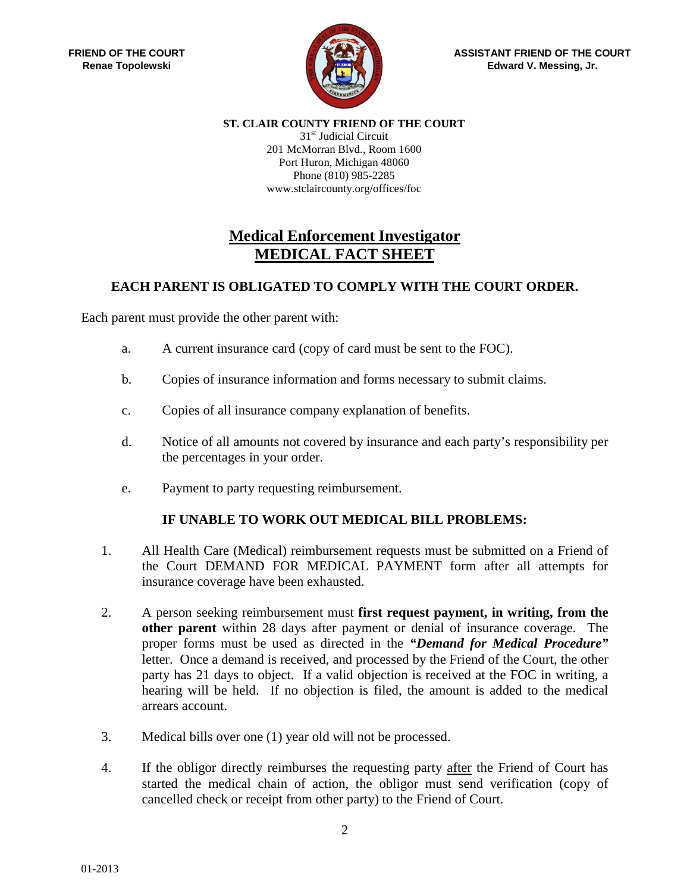

**ASSISTANT FRIEND OF THE COURT Edward V. Messing, Jr.**

**ST. CLAIR COUNTY FRIEND OF THE COURT**

31<sup>st</sup> Judicial Circuit 201 McMorran Blvd., Room 1600 Port Huron, Michigan 48060 Phone (810) 985-2285 www.stclaircounty.org/offices/foc

# **Medical Enforcement Investigator MEDICAL FACT SHEET**

### **EACH PARENT IS OBLIGATED TO COMPLY WITH THE COURT ORDER.**

Each parent must provide the other parent with:

- a. A current insurance card (copy of card must be sent to the FOC).
- b. Copies of insurance information and forms necessary to submit claims.
- c. Copies of all insurance company explanation of benefits.
- d. Notice of all amounts not covered by insurance and each party's responsibility per the percentages in your order.
- e. Payment to party requesting reimbursement.

### **IF UNABLE TO WORK OUT MEDICAL BILL PROBLEMS:**

- 1. All Health Care (Medical) reimbursement requests must be submitted on a Friend of the Court DEMAND FOR MEDICAL PAYMENT form after all attempts for insurance coverage have been exhausted.
- 2. A person seeking reimbursement must **first request payment, in writing, from the other parent** within 28 days after payment or denial of insurance coverage. The proper forms must be used as directed in the *"Demand for Medical Procedure"* letter. Once a demand is received, and processed by the Friend of the Court, the other party has 21 days to object. If a valid objection is received at the FOC in writing, a hearing will be held. If no objection is filed, the amount is added to the medical arrears account.
- 3. Medical bills over one (1) year old will not be processed.
- 4. If the obligor directly reimburses the requesting party after the Friend of Court has started the medical chain of action, the obligor must send verification (copy of cancelled check or receipt from other party) to the Friend of Court.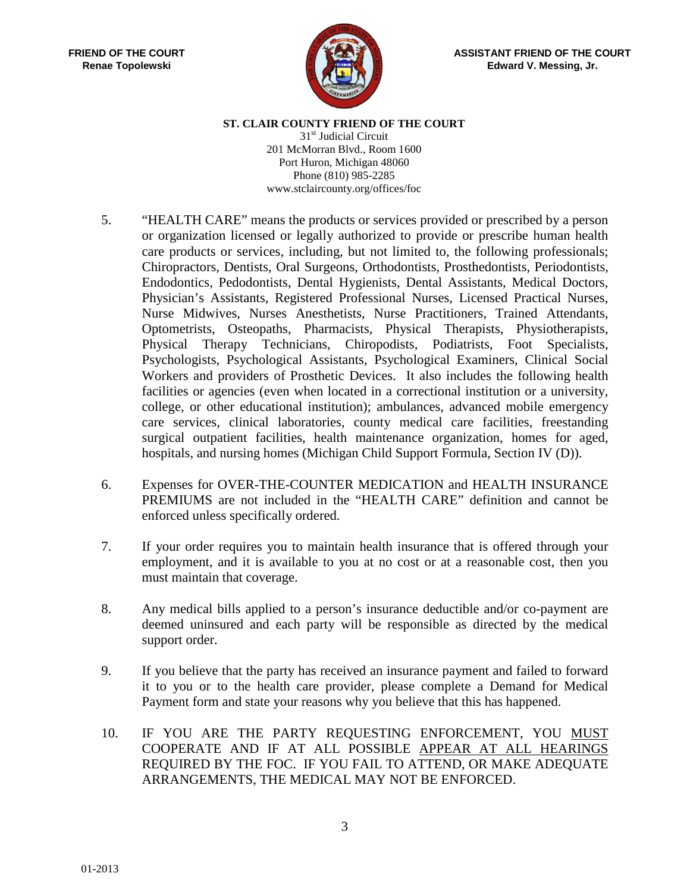

**ST. CLAIR COUNTY FRIEND OF THE COURT**

31<sup>st</sup> Judicial Circuit 201 McMorran Blvd., Room 1600 Port Huron, Michigan 48060 Phone (810) 985-2285 www.stclaircounty.org/offices/foc

- 5. "HEALTH CARE" means the products or services provided or prescribed by a person or organization licensed or legally authorized to provide or prescribe human health care products or services, including, but not limited to, the following professionals; Chiropractors, Dentists, Oral Surgeons, Orthodontists, Prosthedontists, Periodontists, Endodontics, Pedodontists, Dental Hygienists, Dental Assistants, Medical Doctors, Physician's Assistants, Registered Professional Nurses, Licensed Practical Nurses, Nurse Midwives, Nurses Anesthetists, Nurse Practitioners, Trained Attendants, Optometrists, Osteopaths, Pharmacists, Physical Therapists, Physiotherapists, Physical Therapy Technicians, Chiropodists, Podiatrists, Foot Specialists, Psychologists, Psychological Assistants, Psychological Examiners, Clinical Social Workers and providers of Prosthetic Devices. It also includes the following health facilities or agencies (even when located in a correctional institution or a university, college, or other educational institution); ambulances, advanced mobile emergency care services, clinical laboratories, county medical care facilities, freestanding surgical outpatient facilities, health maintenance organization, homes for aged, hospitals, and nursing homes (Michigan Child Support Formula, Section IV (D)).
- 6. Expenses for OVER-THE-COUNTER MEDICATION and HEALTH INSURANCE PREMIUMS are not included in the "HEALTH CARE" definition and cannot be enforced unless specifically ordered.
- 7. If your order requires you to maintain health insurance that is offered through your employment, and it is available to you at no cost or at a reasonable cost, then you must maintain that coverage.
- 8. Any medical bills applied to a person's insurance deductible and/or co-payment are deemed uninsured and each party will be responsible as directed by the medical support order.
- 9. If you believe that the party has received an insurance payment and failed to forward it to you or to the health care provider, please complete a Demand for Medical Payment form and state your reasons why you believe that this has happened.
- 10. IF YOU ARE THE PARTY REQUESTING ENFORCEMENT, YOU MUST COOPERATE AND IF AT ALL POSSIBLE APPEAR AT ALL HEARINGS REQUIRED BY THE FOC. IF YOU FAIL TO ATTEND, OR MAKE ADEQUATE ARRANGEMENTS, THE MEDICAL MAY NOT BE ENFORCED.